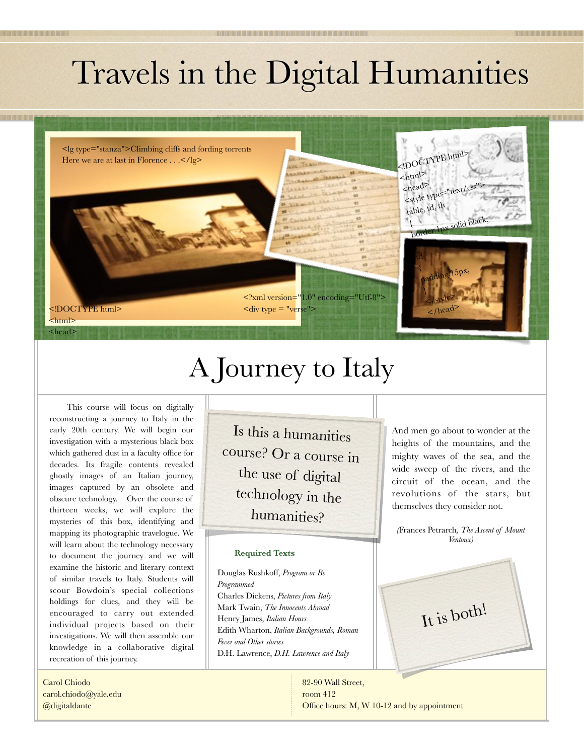# Travels in the Digital Humanities

<lg type="stanza">Climbing cliffs and fording torrents Here we are at last in Florence . . .</lg>

<!DOCTYPE html> <html> <head>

# A Journey to Italy

 $\langle$  div type = "verse">

<?xml version="1.0" encoding="Utf-8">

This course will focus on digitally reconstructing a journey to Italy in the early 20th century. We will begin our investigation with a mysterious black box which gathered dust in a faculty office for decades. Its fragile contents revealed ghostly images of an Italian journey, images captured by an obsolete and obscure technology. Over the course of thirteen weeks, we will explore the mysteries of this box, identifying and mapping its photographic travelogue. We will learn about the technology necessary to document the journey and we will examine the historic and literary context of similar travels to Italy. Students will scour Bowdoin's special collections holdings for clues, and they will be encouraged to carry out extended individual projects based on their investigations. We will then assemble our knowledge in a collaborative digital recreation of this journey.

Carol Chiodo [carol.chiodo@yale.edu](mailto:carol.chiodo@yale.edu) @digitaldante

Is this a humanities course? Or a course in the use of digital technology in the humanities?

#### **Required Texts**

Douglas Rushkoff, *Program or Be Programmed* Charles Dickens, *Pictures from Italy*  Mark Twain, *The Innocents Abroad*  Henry James, *Italian Hours*  Edith Wharton, *Italian Backgrounds, Roman Fever and Other stories*  D.H. Lawrence, *D.H. Lawrence and Italy*

And men go about to wonder at the heights of the mountains, and the mighty waves of the sea, and the wide sweep of the rivers, and the circuit of the ocean, and the revolutions of the stars, but themselves they consider not.

<!DOCTYPE html>

px solid black

 $\leq$ html>  $\leq$ head>  $\lt$ style type table, td, th

{

{

}  $\angle$ /style>  $\lt$ /head>

padding:15px;

*(*Frances Petrarch*, The Ascent of Mount Ventoux)* 

It is both!

82-90 Wall Street, room 412 Office hours: M, W 10-12 and by appointment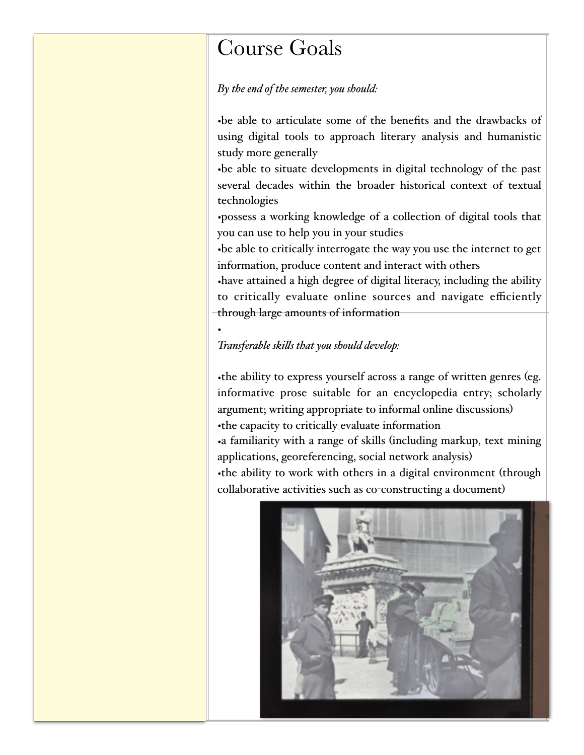## Course Goals

#### *By the end of the semester, you should:*

•be able to articulate some of the benefits and the drawbacks of using digital tools to approach literary analysis and humanistic study more generally

•be able to situate developments in digital technology of the past several decades within the broader historical context of textual technologies

•possess a working knowledge of a collection of digital tools that you can use to help you in your studies

•be able to critically interrogate the way you use the internet to get information, produce content and interact with others

•have attained a high degree of digital literacy, including the ability to critically evaluate online sources and navigate efficiently through large amounts of information

#### •

#### *Transferable skils that you should develop:*

•the ability to express yourself across a range of written genres (eg. informative prose suitable for an encyclopedia entry; scholarly argument; writing appropriate to informal online discussions) •the capacity to critically evaluate information •a familiarity with a range of skills (including markup, text mining applications, georeferencing, social network analysis) •the ability to work with others in a digital environment (through collaborative activities such as co-constructing a document)